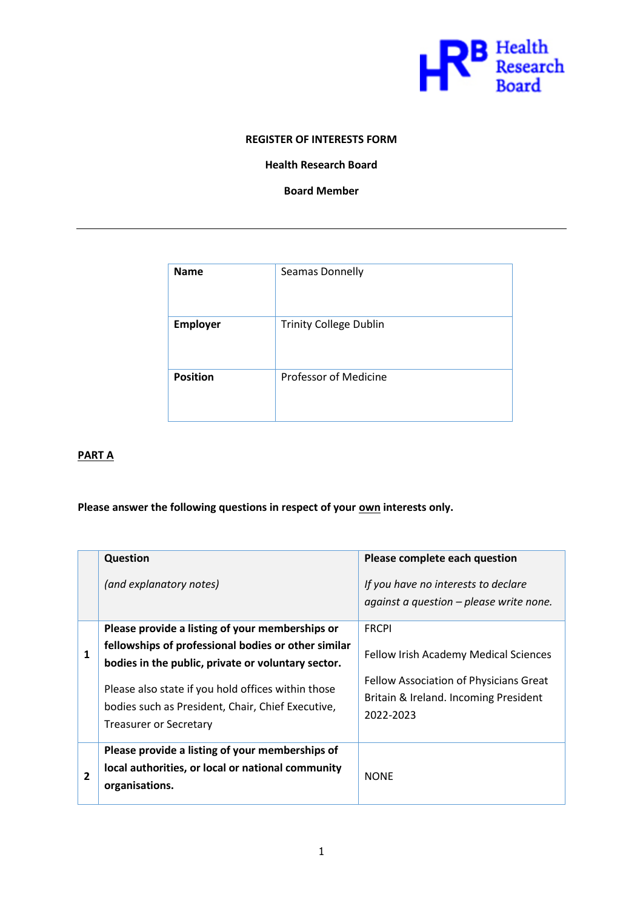

## **REGISTER OF INTERESTS FORM**

## **Health Research Board**

**Board Member**

| <b>Name</b>     | Seamas Donnelly               |
|-----------------|-------------------------------|
| <b>Employer</b> | <b>Trinity College Dublin</b> |
| <b>Position</b> | <b>Professor of Medicine</b>  |

# **PART A**

## Please answer the following questions in respect of your own interests only.

|                | Question<br>(and explanatory notes)                                                                                                                                                                                                                                                                      | Please complete each question<br>If you have no interests to declare<br>against a question $-$ please write none.                                     |
|----------------|----------------------------------------------------------------------------------------------------------------------------------------------------------------------------------------------------------------------------------------------------------------------------------------------------------|-------------------------------------------------------------------------------------------------------------------------------------------------------|
| 1              | Please provide a listing of your memberships or<br>fellowships of professional bodies or other similar<br>bodies in the public, private or voluntary sector.<br>Please also state if you hold offices within those<br>bodies such as President, Chair, Chief Executive,<br><b>Treasurer or Secretary</b> | <b>FRCPI</b><br>Fellow Irish Academy Medical Sciences<br>Fellow Association of Physicians Great<br>Britain & Ireland. Incoming President<br>2022-2023 |
| $\overline{2}$ | Please provide a listing of your memberships of<br>local authorities, or local or national community<br>organisations.                                                                                                                                                                                   | <b>NONE</b>                                                                                                                                           |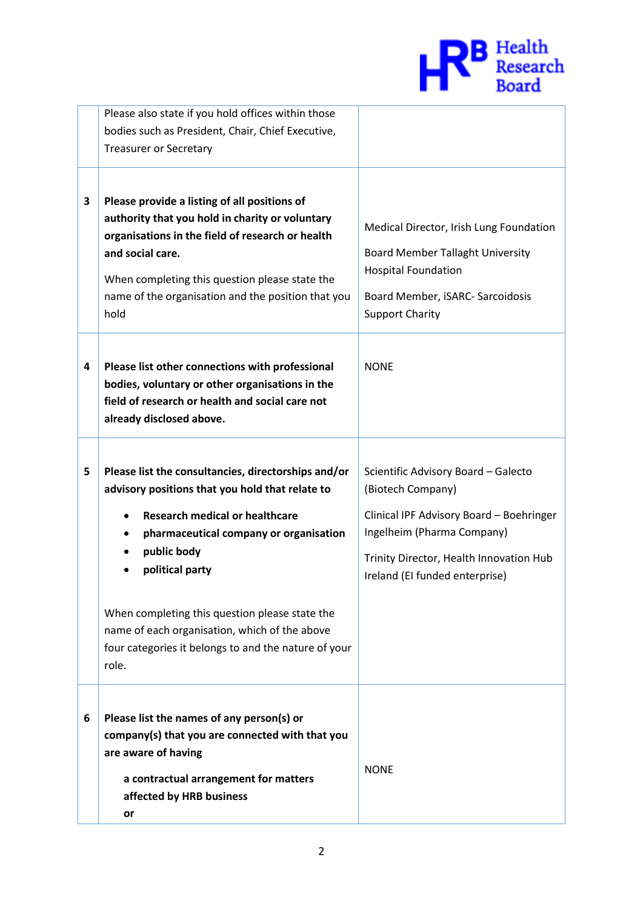

|   | Please also state if you hold offices within those   |                                          |
|---|------------------------------------------------------|------------------------------------------|
|   | bodies such as President, Chair, Chief Executive,    |                                          |
|   | <b>Treasurer or Secretary</b>                        |                                          |
|   |                                                      |                                          |
|   |                                                      |                                          |
| 3 | Please provide a listing of all positions of         |                                          |
|   | authority that you hold in charity or voluntary      | Medical Director, Irish Lung Foundation  |
|   | organisations in the field of research or health     |                                          |
|   | and social care.                                     | <b>Board Member Tallaght University</b>  |
|   |                                                      | <b>Hospital Foundation</b>               |
|   | When completing this question please state the       |                                          |
|   | name of the organisation and the position that you   | Board Member, iSARC- Sarcoidosis         |
|   | hold                                                 | <b>Support Charity</b>                   |
|   |                                                      |                                          |
|   |                                                      |                                          |
| 4 | Please list other connections with professional      | <b>NONE</b>                              |
|   | bodies, voluntary or other organisations in the      |                                          |
|   | field of research or health and social care not      |                                          |
|   | already disclosed above.                             |                                          |
|   |                                                      |                                          |
|   |                                                      |                                          |
| 5 | Please list the consultancies, directorships and/or  | Scientific Advisory Board - Galecto      |
|   | advisory positions that you hold that relate to      | (Biotech Company)                        |
|   | <b>Research medical or healthcare</b>                | Clinical IPF Advisory Board - Boehringer |
|   | pharmaceutical company or organisation               | Ingelheim (Pharma Company)               |
|   |                                                      |                                          |
|   | public body                                          | Trinity Director, Health Innovation Hub  |
|   | political party                                      | Ireland (EI funded enterprise)           |
|   |                                                      |                                          |
|   | When completing this question please state the       |                                          |
|   | name of each organisation, which of the above        |                                          |
|   | four categories it belongs to and the nature of your |                                          |
|   | role.                                                |                                          |
|   |                                                      |                                          |
|   |                                                      |                                          |
| 6 | Please list the names of any person(s) or            |                                          |
|   | company(s) that you are connected with that you      |                                          |
|   | are aware of having                                  |                                          |
|   |                                                      | <b>NONE</b>                              |
|   | a contractual arrangement for matters                |                                          |
|   | affected by HRB business                             |                                          |
|   |                                                      |                                          |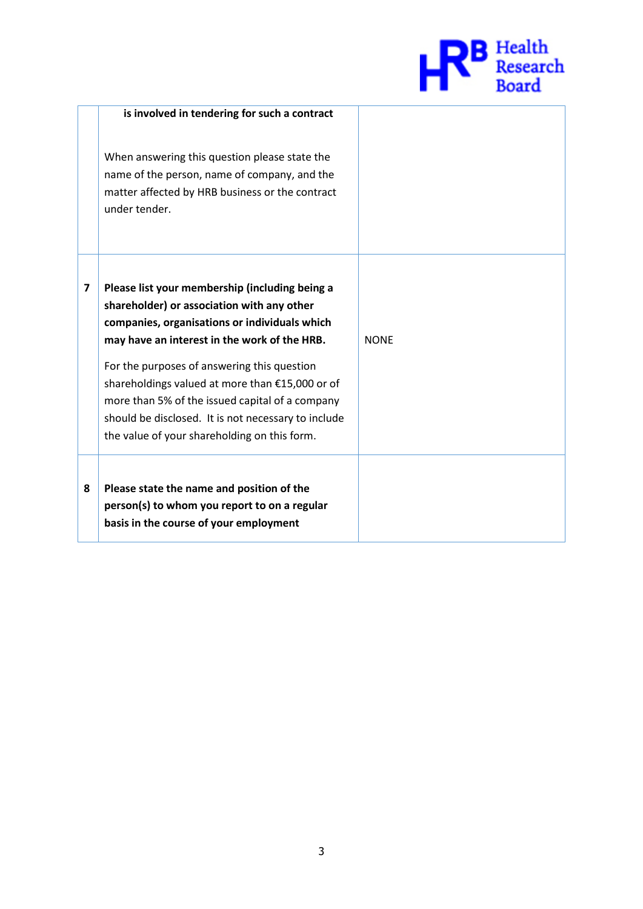

|   | is involved in tendering for such a contract                                                                                                                                                                                                                                                                                                                                                                                                              |             |
|---|-----------------------------------------------------------------------------------------------------------------------------------------------------------------------------------------------------------------------------------------------------------------------------------------------------------------------------------------------------------------------------------------------------------------------------------------------------------|-------------|
|   | When answering this question please state the<br>name of the person, name of company, and the<br>matter affected by HRB business or the contract<br>under tender.                                                                                                                                                                                                                                                                                         |             |
| 7 | Please list your membership (including being a<br>shareholder) or association with any other<br>companies, organisations or individuals which<br>may have an interest in the work of the HRB.<br>For the purposes of answering this question<br>shareholdings valued at more than €15,000 or of<br>more than 5% of the issued capital of a company<br>should be disclosed. It is not necessary to include<br>the value of your shareholding on this form. | <b>NONE</b> |
| 8 | Please state the name and position of the<br>person(s) to whom you report to on a regular<br>basis in the course of your employment                                                                                                                                                                                                                                                                                                                       |             |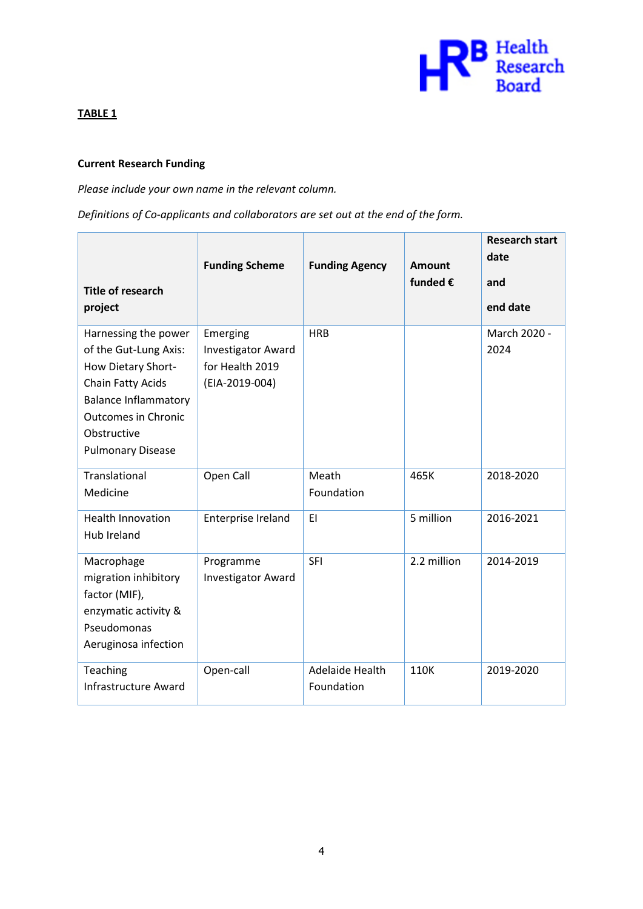

# **TABLE 1**

# **Current Research Funding**

*Please include your own name in the relevant column.* 

*Definitions of Co-applicants and collaborators are set out at the end of the form.*

| <b>Title of research</b><br>project                                                                                                                                                              | <b>Funding Scheme</b>                                                      | <b>Funding Agency</b>         | Amount<br>funded € | <b>Research start</b><br>date<br>and<br>end date |
|--------------------------------------------------------------------------------------------------------------------------------------------------------------------------------------------------|----------------------------------------------------------------------------|-------------------------------|--------------------|--------------------------------------------------|
| Harnessing the power<br>of the Gut-Lung Axis:<br>How Dietary Short-<br>Chain Fatty Acids<br><b>Balance Inflammatory</b><br><b>Outcomes in Chronic</b><br>Obstructive<br><b>Pulmonary Disease</b> | Emerging<br><b>Investigator Award</b><br>for Health 2019<br>(EIA-2019-004) | <b>HRB</b>                    |                    | March 2020 -<br>2024                             |
| Translational<br>Medicine                                                                                                                                                                        | Open Call                                                                  | Meath<br>Foundation           | 465K               | 2018-2020                                        |
| <b>Health Innovation</b><br><b>Hub Ireland</b>                                                                                                                                                   | Enterprise Ireland                                                         | EI                            | 5 million          | 2016-2021                                        |
| Macrophage<br>migration inhibitory<br>factor (MIF),<br>enzymatic activity &<br>Pseudomonas<br>Aeruginosa infection                                                                               | Programme<br><b>Investigator Award</b>                                     | SFI                           | 2.2 million        | 2014-2019                                        |
| Teaching<br><b>Infrastructure Award</b>                                                                                                                                                          | Open-call                                                                  | Adelaide Health<br>Foundation | 110K               | 2019-2020                                        |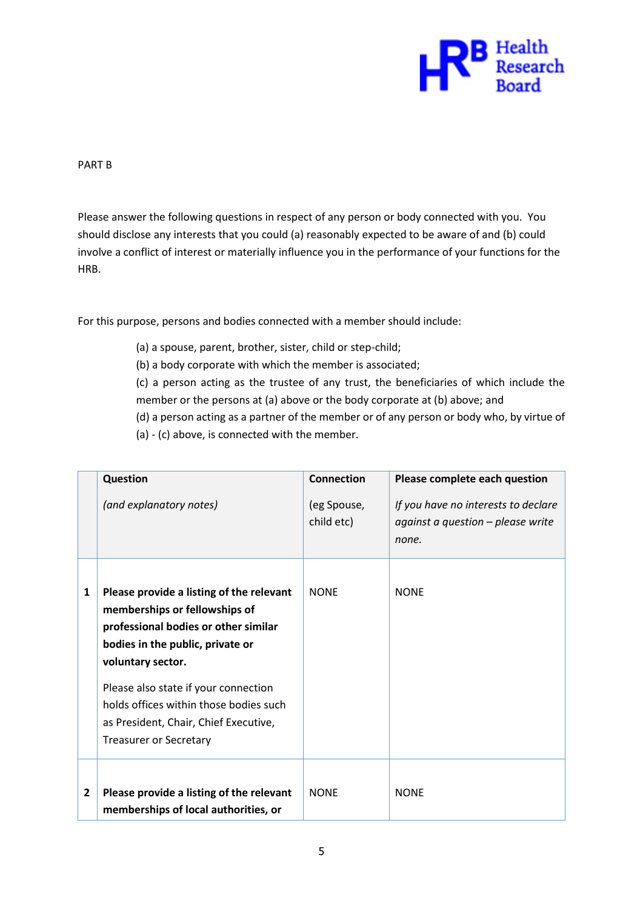

PART B

Please answer the following questions in respect of any person or body connected with you. You should disclose any interests that you could (a) reasonably expected to be aware of and (b) could involve a conflict of interest or materially influence you in the performance of your functions for the HRB.

For this purpose, persons and bodies connected with a member should include:

- (a) a spouse, parent, brother, sister, child or step-child;
- (b) a body corporate with which the member is associated;

(c) a person acting as the trustee of any trust, the beneficiaries of which include the member or the persons at (a) above or the body corporate at (b) above; and

(d) a person acting as a partner of the member or of any person or body who, by virtue of

(a) - (c) above, is connected with the member.

|   | Question                                                                                                                                                                                                                                                                                                                               | <b>Connection</b>         | Please complete each question                                                     |
|---|----------------------------------------------------------------------------------------------------------------------------------------------------------------------------------------------------------------------------------------------------------------------------------------------------------------------------------------|---------------------------|-----------------------------------------------------------------------------------|
|   | (and explanatory notes)                                                                                                                                                                                                                                                                                                                | (eg Spouse,<br>child etc) | If you have no interests to declare<br>against a question - please write<br>none. |
| 1 | Please provide a listing of the relevant<br>memberships or fellowships of<br>professional bodies or other similar<br>bodies in the public, private or<br>voluntary sector.<br>Please also state if your connection<br>holds offices within those bodies such<br>as President, Chair, Chief Executive,<br><b>Treasurer or Secretary</b> | <b>NONE</b>               | <b>NONE</b>                                                                       |
| 2 | Please provide a listing of the relevant<br>memberships of local authorities, or                                                                                                                                                                                                                                                       | <b>NONE</b>               | <b>NONE</b>                                                                       |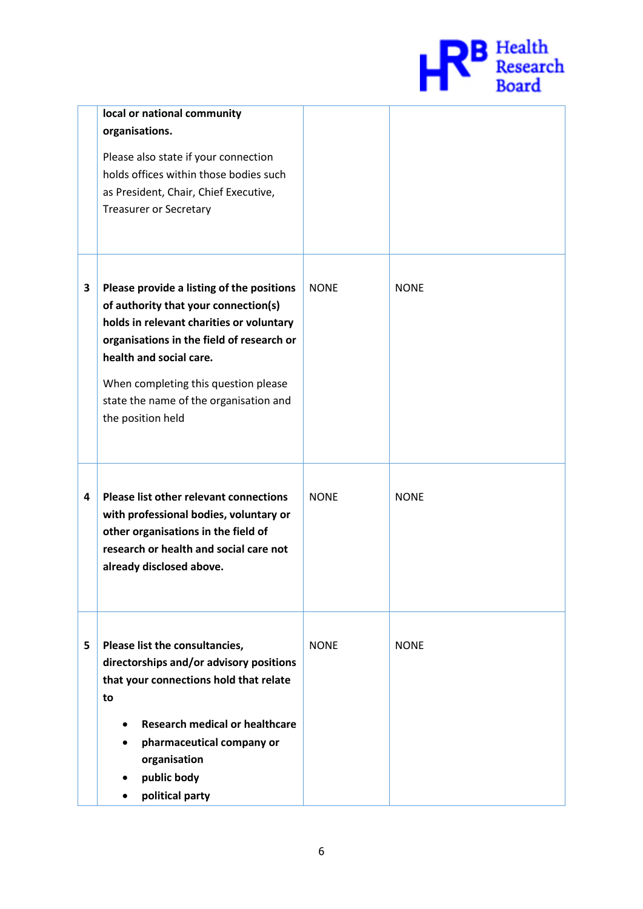

|   | local or national community<br>organisations.<br>Please also state if your connection<br>holds offices within those bodies such<br>as President, Chair, Chief Executive,<br><b>Treasurer or Secretary</b>                                                                                                    |             |             |
|---|--------------------------------------------------------------------------------------------------------------------------------------------------------------------------------------------------------------------------------------------------------------------------------------------------------------|-------------|-------------|
| 3 | Please provide a listing of the positions<br>of authority that your connection(s)<br>holds in relevant charities or voluntary<br>organisations in the field of research or<br>health and social care.<br>When completing this question please<br>state the name of the organisation and<br>the position held | <b>NONE</b> | <b>NONE</b> |
| 4 | Please list other relevant connections<br>with professional bodies, voluntary or<br>other organisations in the field of<br>research or health and social care not<br>already disclosed above.                                                                                                                | <b>NONE</b> | <b>NONE</b> |
| 5 | Please list the consultancies,<br>directorships and/or advisory positions<br>that your connections hold that relate<br>to<br><b>Research medical or healthcare</b><br>pharmaceutical company or<br>organisation<br>public body<br>political party                                                            | <b>NONE</b> | <b>NONE</b> |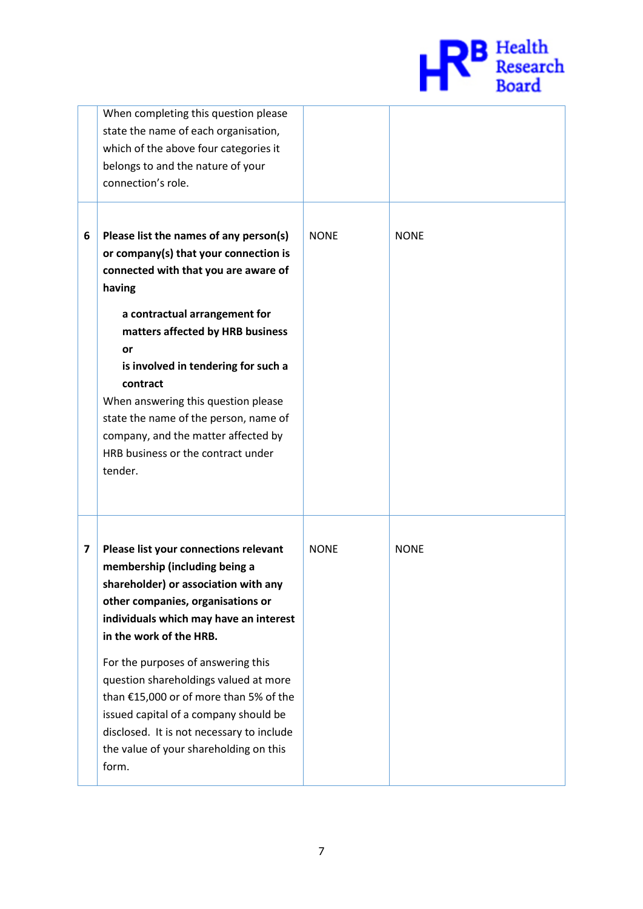

|   | When completing this question please<br>state the name of each organisation,<br>which of the above four categories it<br>belongs to and the nature of your<br>connection's role.                                                                                                                                                                                                                                                        |             |             |
|---|-----------------------------------------------------------------------------------------------------------------------------------------------------------------------------------------------------------------------------------------------------------------------------------------------------------------------------------------------------------------------------------------------------------------------------------------|-------------|-------------|
| 6 | Please list the names of any person(s)<br>or company(s) that your connection is<br>connected with that you are aware of<br>having<br>a contractual arrangement for<br>matters affected by HRB business<br>or<br>is involved in tendering for such a<br>contract<br>When answering this question please<br>state the name of the person, name of<br>company, and the matter affected by<br>HRB business or the contract under<br>tender. | <b>NONE</b> | <b>NONE</b> |
| 7 | Please list your connections relevant<br>membership (including being a<br>shareholder) or association with any<br>other companies, organisations or<br>individuals which may have an interest<br>in the work of the HRB.<br>For the purposes of answering this<br>question shareholdings valued at more                                                                                                                                 | <b>NONE</b> | <b>NONE</b> |
|   | than €15,000 or of more than 5% of the<br>issued capital of a company should be<br>disclosed. It is not necessary to include<br>the value of your shareholding on this<br>form.                                                                                                                                                                                                                                                         |             |             |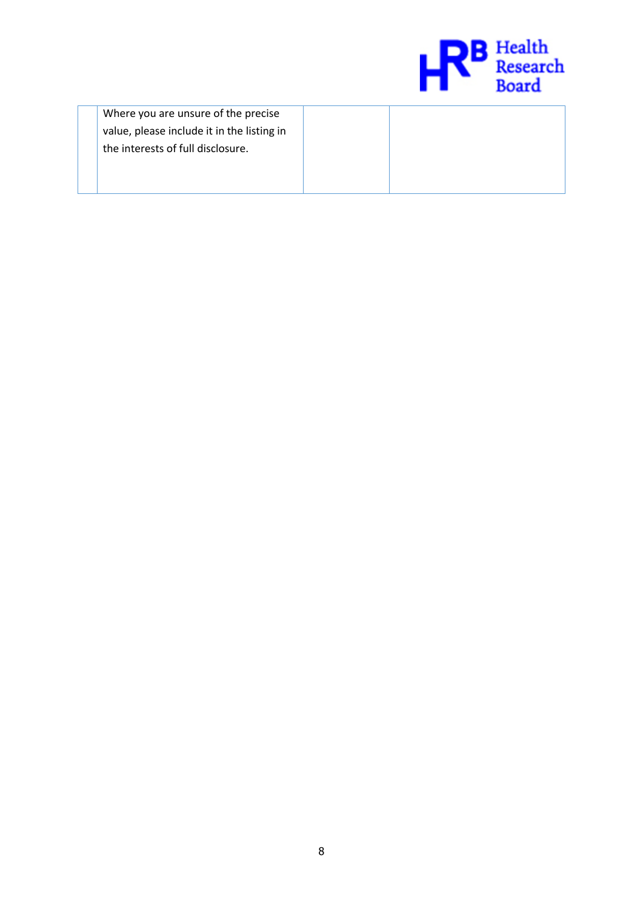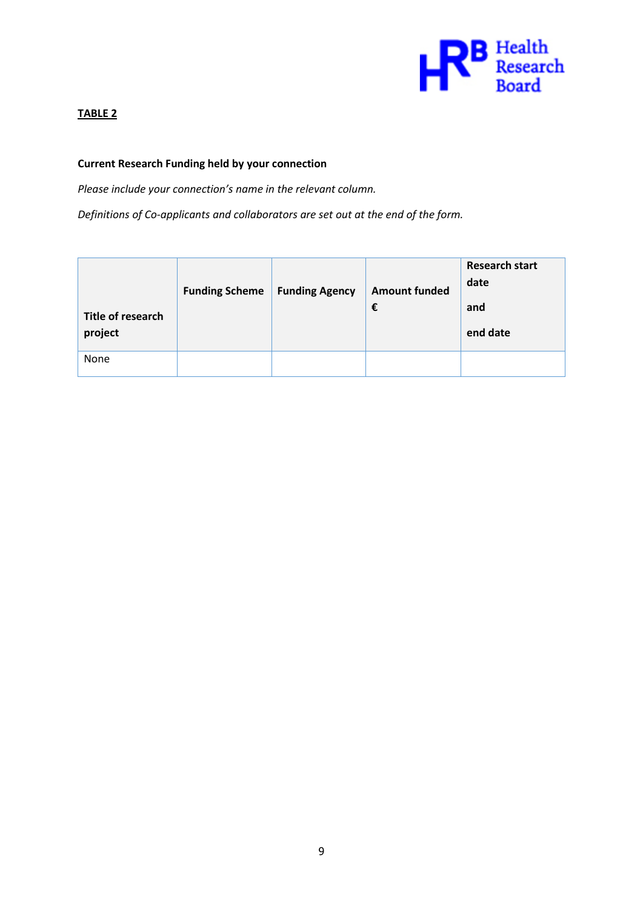

# **TABLE 2**

## **Current Research Funding held by your connection**

*Please include your connection's name in the relevant column.* 

*Definitions of Co-applicants and collaborators are set out at the end of the form.*

| Title of research<br>project | <b>Funding Scheme</b> | <b>Funding Agency</b> | <b>Amount funded</b><br>€ | <b>Research start</b><br>date<br>and<br>end date |
|------------------------------|-----------------------|-----------------------|---------------------------|--------------------------------------------------|
| None                         |                       |                       |                           |                                                  |